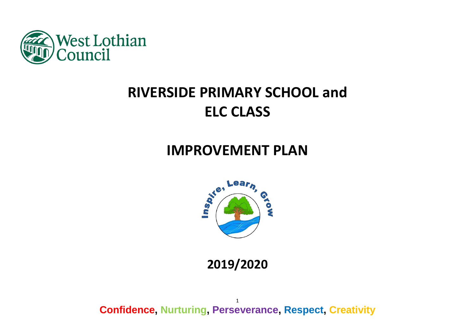

# **RIVERSIDE PRIMARY SCHOOL and ELC CLASS**

## **IMPROVEMENT PLAN**



**2019/2020**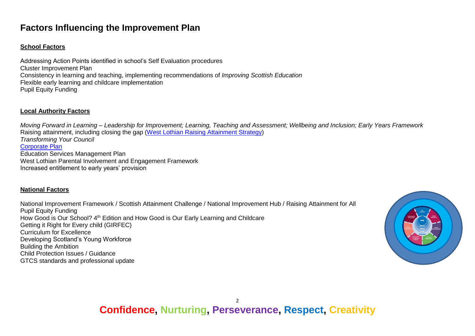### **Factors Influencing the Improvement Plan**

### **School Factors**

Addressing Action Points identified in school's Self Evaluation procedures Cluster Improvement Plan Consistency in learning and teaching, implementing recommendations of *Improving Scottish Education* Flexible early learning and childcare implementation Pupil Equity Funding

### **Local Authority Factors**

*Moving Forward in Learning – Leadership for Improvement; Learning, Teaching and Assessment; Wellbeing and Inclusion; Early Years Framework* Raising attainment, including closing the gap [\(West Lothian Raising Attainment Strategy\)](https://www.westlothian.gov.uk/media/29938/Raising-Attainment-Strategy-201819-to-202223/pdf/Raising_Attainment_Strategy.pdf) *Transforming Your Council* [Corporate Plan](https://www.westlothian.gov.uk/media/19488/Corporate-Plan-2018-2023/pdf/Corporate_Plan_2018_to_2023.pdf) Education Services Management Plan West Lothian Parental Involvement and Engagement Framework Increased entitlement to early years' provision

### **National Factors**

National Improvement Framework / Scottish Attainment Challenge / National Improvement Hub / Raising Attainment for All Pupil Equity Funding How Good is Our School? 4<sup>th</sup> Edition and How Good is Our Early Learning and Childcare Getting it Right for Every child (GIRFEC) Curriculum for Excellence Developing Scotland's Young Workforce Building the Ambition Child Protection Issues / Guidance GTCS standards and professional update

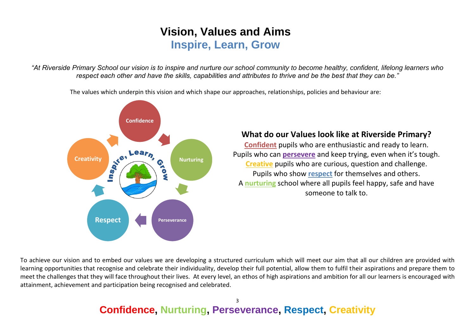## **Vision, Values and Aims Inspire, Learn, Grow**

*"At Riverside Primary School our vision is to inspire and nurture our school community to become healthy, confident, lifelong learners who respect each other and have the skills, capabilities and attributes to thrive and be the best that they can be."*

The values which underpin this vision and which shape our approaches, relationships, policies and behaviour are:



### **What do our Values look like at Riverside Primary?**

**Confident** pupils who are enthusiastic and ready to learn. Pupils who can **persevere** and keep trying, even when it's tough. **Creative** pupils who are curious, question and challenge. Pupils who show **respect** for themselves and others. A **nurturing** school where all pupils feel happy, safe and have someone to talk to.

To achieve our vision and to embed our values we are developing a structured curriculum which will meet our aim that all our children are provided with learning opportunities that recognise and celebrate their individuality, develop their full potential, allow them to fulfil their aspirations and prepare them to meet the challenges that they will face throughout their lives. At every level, an ethos of high aspirations and ambition for all our learners is encouraged with attainment, achievement and participation being recognised and celebrated.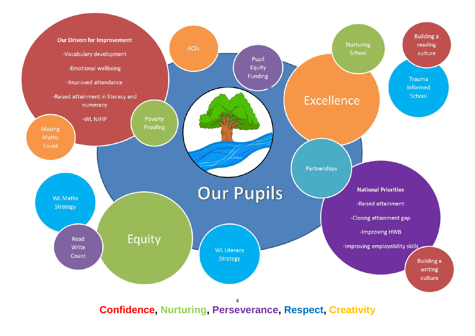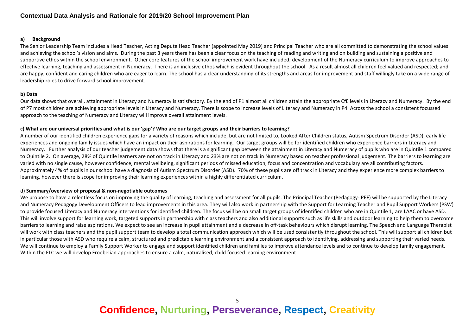### **Contextual Data Analysis and Rationale for 2019/20 School Improvement Plan**

#### **a) Background**

The Senior Leadership Team includes a Head Teacher, Acting Depute Head Teacher (appointed May 2019) and Principal Teacher who are all committed to demonstrating the school values and achieving the school's vision and aims. During the past 3 years there has been a clear focus on the teaching of reading and writing and on building and sustaining a positive and supportive ethos within the school environment. Other core features of the school improvement work have included; development of the Numeracy curriculum to improve approaches to effective learning, teaching and assessment in Numeracy. There is an inclusive ethos which is evident throughout the school. As a result almost all children feel valued and respected; and are happy, confident and caring children who are eager to learn. The school has a clear understanding of its strengths and areas for improvement and staff willingly take on a wide range of leadership roles to drive forward school improvement.

#### **b) Data**

Our data shows that overall, attainment in Literacy and Numeracy is satisfactory. By the end of P1 almost all children attain the appropriate CfE levels in Literacy and Numeracy. By the end of P7 most children are achieving appropriate levels in Literacy and Numeracy. There is scope to increase levels of Literacy and Numeracy in P4. Across the school a consistent focussed approach to the teaching of Numeracy and Literacy will improve overall attainment levels.

### **c) What are our universal priorities and what is our 'gap'? Who are our target groups and their barriers to learning?**

A number of our identified children experience gaps for a variety of reasons which include, but are not limited to, Looked After Children status, Autism Spectrum Disorder (ASD), early life experiences and ongoing family issues which have an impact on their aspirations for learning. Our target groups will be for identified children who experience barriers in Literacy and Numeracy. Further analysis of our teacher judgement data shows that there is a significant gap between the attainment in Literacy and Numeracy of pupils who are in Quintile 1 compared to Quintile 2. On average, 28% of Quintile learners are not on track in Literacy and 23% are not on track in Numeracy based on teacher professional judgement. The barriers to learning are varied with no single cause, however confidence, mental wellbeing, significant periods of missed education, focus and concentration and vocabulary are all contributing factors. Approximately 4% of pupils in our school have a diagnosis of Autism Spectrum Disorder (ASD). 70% of these pupils are off track in Literacy and they experience more complex barriers to learning, however there is scope for improving their learning experiences within a highly differentiated curriculum.

#### d) **Summary/overview of proposal & non-negotiable outcomes**

We propose to have a relentless focus on improving the quality of learning, teaching and assessment for all pupils. The Principal Teacher (Pedagogy- PEF) will be supported by the Literacy and Numeracy Pedagogy Development Officers to lead improvements in this area. They will also work in partnership with the Support for Learning Teacher and Pupil Support Workers (PSW) to provide focused Literacy and Numeracy interventions for identified children. The focus will be on small target groups of identified children who are in Quintile 1, are LAAC or have ASD. This will involve support for learning work, targeted supports in partnership with class teachers and also additional supports such as life skills and outdoor learning to help them to overcome barriers to learning and raise aspirations. We expect to see an increase in pupil attainment and a decrease in off-task behaviours which disrupt learning. The Speech and Language Therapist will work with class teachers and the pupil support team to develop a total communication approach which will be used consistently throughout the school. This will support all children but in particular those with ASD who require a calm, structured and predictable learning environment and a consistent approach to identifying, addressing and supporting their varied needs. We will continue to employ a Family Support Worker to engage and support identified children and families to improve attendance levels and to continue to develop family engagement. Within the ELC we will develop Froebelian approaches to ensure a calm, naturalised, child focused learning environment.